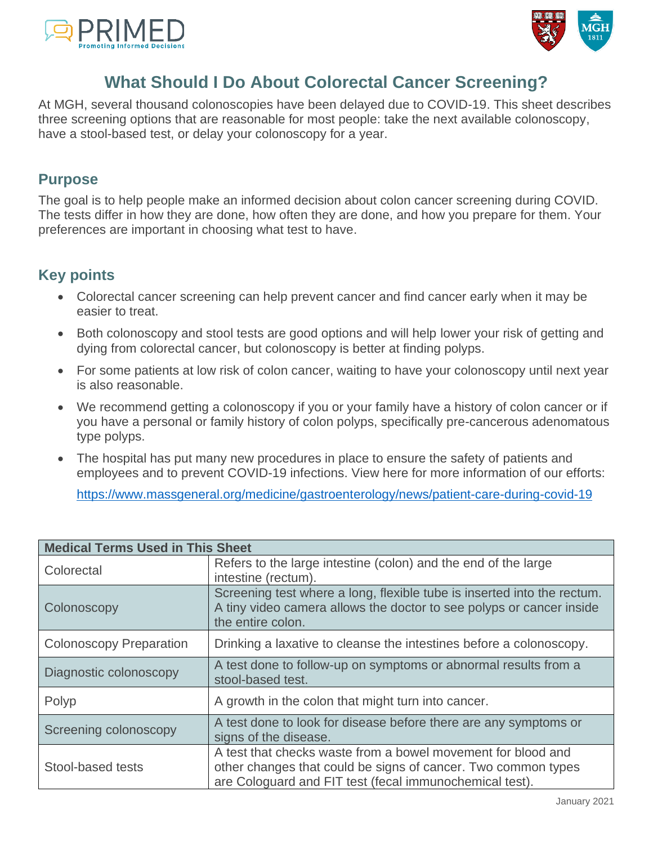



# **What Should I Do About Colorectal Cancer Screening?**

At MGH, several thousand colonoscopies have been delayed due to COVID-19. This sheet describes three screening options that are reasonable for most people: take the next available colonoscopy, have a stool-based test, or delay your colonoscopy for a year.

### **Purpose**

The goal is to help people make an informed decision about colon cancer screening during COVID. The tests differ in how they are done, how often they are done, and how you prepare for them. Your preferences are important in choosing what test to have.

### **Key points**

- Colorectal cancer screening can help prevent cancer and find cancer early when it may be easier to treat.
- Both colonoscopy and stool tests are good options and will help lower your risk of getting and dying from colorectal cancer, but colonoscopy is better at finding polyps.
- For some patients at low risk of colon cancer, waiting to have your colonoscopy until next year is also reasonable.
- We recommend getting a colonoscopy if you or your family have a history of colon cancer or if you have a personal or family history of colon polyps, specifically pre-cancerous adenomatous type polyps.
- The hospital has put many new procedures in place to ensure the safety of patients and employees and to prevent COVID-19 infections. View here for more information of our efforts:

<https://www.massgeneral.org/medicine/gastroenterology/news/patient-care-during-covid-19>

| <b>Medical Terms Used in This Sheet</b> |                                                                                                                                                                                          |  |  |  |
|-----------------------------------------|------------------------------------------------------------------------------------------------------------------------------------------------------------------------------------------|--|--|--|
| Colorectal                              | Refers to the large intestine (colon) and the end of the large<br>intestine (rectum).                                                                                                    |  |  |  |
| Colonoscopy                             | Screening test where a long, flexible tube is inserted into the rectum.<br>A tiny video camera allows the doctor to see polyps or cancer inside<br>the entire colon.                     |  |  |  |
| <b>Colonoscopy Preparation</b>          | Drinking a laxative to cleanse the intestines before a colonoscopy.                                                                                                                      |  |  |  |
| Diagnostic colonoscopy                  | A test done to follow-up on symptoms or abnormal results from a<br>stool-based test.                                                                                                     |  |  |  |
| Polyp                                   | A growth in the colon that might turn into cancer.                                                                                                                                       |  |  |  |
| Screening colonoscopy                   | A test done to look for disease before there are any symptoms or<br>signs of the disease.                                                                                                |  |  |  |
| Stool-based tests                       | A test that checks waste from a bowel movement for blood and<br>other changes that could be signs of cancer. Two common types<br>are Cologuard and FIT test (fecal immunochemical test). |  |  |  |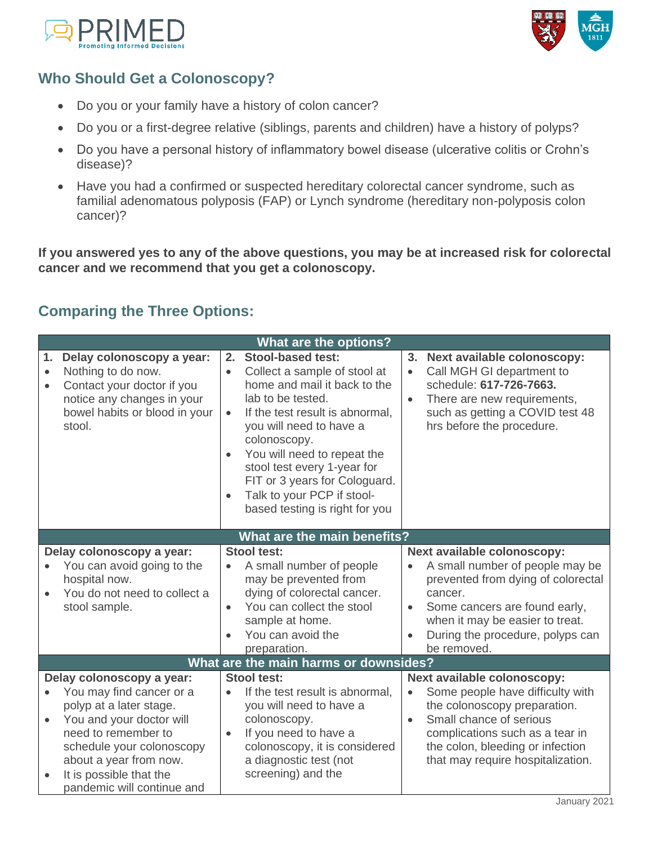



# **Who Should Get a Colonoscopy?**

- Do you or your family have a history of colon cancer?
- Do you or a first-degree relative (siblings, parents and children) have a history of polyps?
- Do you have a personal history of inflammatory bowel disease (ulcerative colitis or Crohn's disease)?
- Have you had a confirmed or suspected hereditary colorectal cancer syndrome, such as familial adenomatous polyposis (FAP) or Lynch syndrome (hereditary non-polyposis colon cancer)?

**If you answered yes to any of the above questions, you may be at increased risk for colorectal cancer and we recommend that you get a colonoscopy.** 

# **Comparing the Three Options:**

|                              |                                                                                                                                                                                                                                                     | <b>What are the options?</b>                                                                                                                                                                                                                                                                                                                                                                                                                                                                                                                        |                                                                                                           |
|------------------------------|-----------------------------------------------------------------------------------------------------------------------------------------------------------------------------------------------------------------------------------------------------|-----------------------------------------------------------------------------------------------------------------------------------------------------------------------------------------------------------------------------------------------------------------------------------------------------------------------------------------------------------------------------------------------------------------------------------------------------------------------------------------------------------------------------------------------------|-----------------------------------------------------------------------------------------------------------|
| 1.<br>$\bullet$<br>$\bullet$ | Delay colonoscopy a year:<br>Nothing to do now.<br>Contact your doctor if you<br>notice any changes in your<br>bowel habits or blood in your<br>stool.                                                                                              | <b>Stool-based test:</b><br>2.<br>3.<br>Next available colonoscopy:<br>Call MGH GI department to<br>Collect a sample of stool at<br>home and mail it back to the<br>schedule: 617-726-7663.<br>lab to be tested.<br>There are new requirements,<br>If the test result is abnormal,<br>$\bullet$<br>hrs before the procedure.<br>you will need to have a<br>colonoscopy.<br>You will need to repeat the<br>$\bullet$<br>stool test every 1-year for<br>FIT or 3 years for Cologuard.<br>Talk to your PCP if stool-<br>based testing is right for you | such as getting a COVID test 48                                                                           |
|                              |                                                                                                                                                                                                                                                     | What are the main benefits?                                                                                                                                                                                                                                                                                                                                                                                                                                                                                                                         |                                                                                                           |
|                              | Delay colonoscopy a year:<br>You can avoid going to the<br>hospital now.<br>You do not need to collect a<br>stool sample.                                                                                                                           | <b>Stool test:</b><br>Next available colonoscopy:<br>A small number of people<br>may be prevented from<br>dying of colorectal cancer.<br>cancer.<br>You can collect the stool<br>Some cancers are found early,<br>$\bullet$<br>$\bullet$<br>when it may be easier to treat.<br>sample at home.<br>You can avoid the<br>be removed.<br>preparation.                                                                                                                                                                                                  | A small number of people may be<br>prevented from dying of colorectal<br>During the procedure, polyps can |
|                              |                                                                                                                                                                                                                                                     | What are the main harms or downsides?                                                                                                                                                                                                                                                                                                                                                                                                                                                                                                               |                                                                                                           |
|                              | Delay colonoscopy a year:<br>You may find cancer or a<br>polyp at a later stage.<br>You and your doctor will<br>need to remember to<br>schedule your colonoscopy<br>about a year from now.<br>It is possible that the<br>pandemic will continue and | <b>Stool test:</b><br>Next available colonoscopy:<br>If the test result is abnormal,<br>$\bullet$<br>you will need to have a<br>the colonoscopy preparation.<br>colonoscopy.<br>Small chance of serious<br>$\bullet$<br>If you need to have a<br>complications such as a tear in<br>$\bullet$<br>colonoscopy, it is considered<br>the colon, bleeding or infection<br>a diagnostic test (not<br>screening) and the                                                                                                                                  | Some people have difficulty with<br>that may require hospitalization.                                     |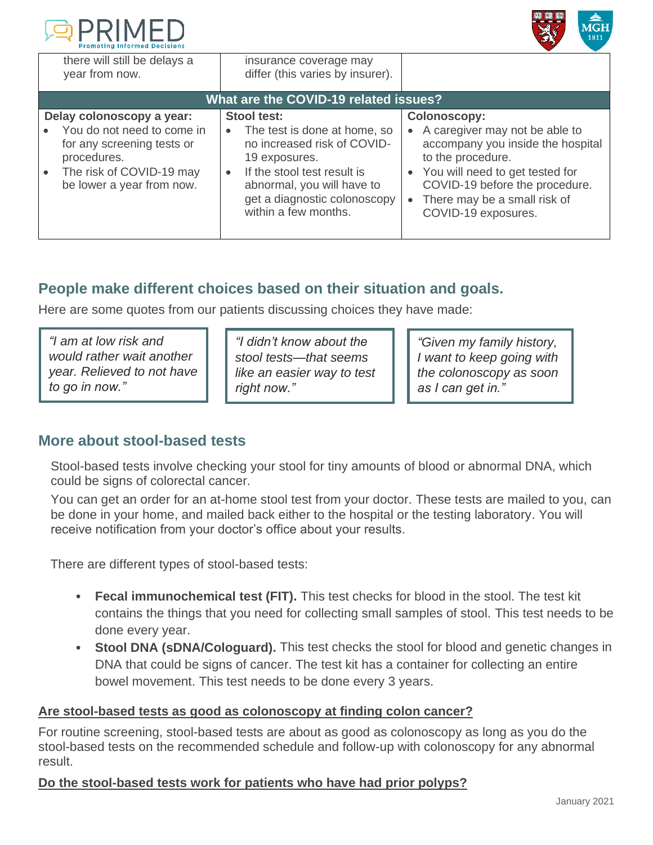



| there will still be delays a<br>year from now.                                                                                                                | insurance coverage may<br>differ (this varies by insurer).                                                                                                                                                       |                                                                                                                                                                                                                                                              |  |  |
|---------------------------------------------------------------------------------------------------------------------------------------------------------------|------------------------------------------------------------------------------------------------------------------------------------------------------------------------------------------------------------------|--------------------------------------------------------------------------------------------------------------------------------------------------------------------------------------------------------------------------------------------------------------|--|--|
| What are the COVID-19 related issues?                                                                                                                         |                                                                                                                                                                                                                  |                                                                                                                                                                                                                                                              |  |  |
| Delay colonoscopy a year:<br>You do not need to come in<br>for any screening tests or<br>procedures.<br>The risk of COVID-19 may<br>be lower a year from now. | Stool test:<br>The test is done at home, so<br>no increased risk of COVID-<br>19 exposures.<br>If the stool test result is<br>abnormal, you will have to<br>get a diagnostic colonoscopy<br>within a few months. | <b>Colonoscopy:</b><br>• A caregiver may not be able to<br>accompany you inside the hospital<br>to the procedure.<br>• You will need to get tested for<br>COVID-19 before the procedure.<br>There may be a small risk of<br>$\bullet$<br>COVID-19 exposures. |  |  |

## **People make different choices based on their situation and goals.**

Here are some quotes from our patients discussing choices they have made:

*"I am at low risk and would rather wait another year. Relieved to not have to go in now."* 

*"I didn't know about the stool tests—that seems like an easier way to test right now."* 

*"Given my family history, I want to keep going with the colonoscopy as soon as I can get in."* 

### **More about stool-based tests**

Stool-based tests involve checking your stool for tiny amounts of blood or abnormal DNA, which could be signs of colorectal cancer.

You can get an order for an at-home stool test from your doctor. These tests are mailed to you, can be done in your home, and mailed back either to the hospital or the testing laboratory. You will receive notification from your doctor's office about your results.

There are different types of stool-based tests:

- **Fecal immunochemical test (FIT).** This test checks for blood in the stool. The test kit contains the things that you need for collecting small samples of stool. This test needs to be done every year.
- **Stool DNA (sDNA/Cologuard).** This test checks the stool for blood and genetic changes in DNA that could be signs of cancer. The test kit has a container for collecting an entire bowel movement. This test needs to be done every 3 years.

### **Are stool-based tests as good as colonoscopy at finding colon cancer?**

For routine screening, stool-based tests are about as good as colonoscopy as long as you do the stool-based tests on the recommended schedule and follow-up with colonoscopy for any abnormal result.

### **Do the stool-based tests work for patients who have had prior polyps?**